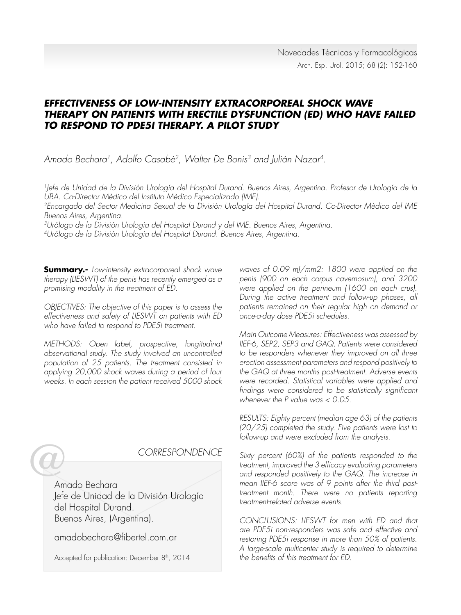# **EFFECTIVENESS OF LOW-INTENSITY EXTRACORPOREAL SHOCK WAVE THERAPY ON PATIENTS WITH ERECTILE DYSFUNCTION (ED) WHO HAVE FAILED TO RESPOND TO PDE5I THERAPY. A PILOT STUDY**

Amado Bechara<sup>1</sup>, Adolfo Casabé<sup>2</sup>, Walter De Bonis<sup>3</sup> and Julián Nazar<sup>4</sup>.

1Jefe de Unidad de la División Urología del Hospital Durand. Buenos Aires, Argentina. Profesor de Urología de la UBA. Co-Director Mèdico del Instituto Mèdico Especializado (IME).

2Encargado del Sector Medicina Sexual de la División Urología del Hospital Durand. Co-Director Mèdico del IME Buenos Aires, Argentina.

3Urólogo de la División Urología del Hospital Durand y del IME. Buenos Aires, Argentina.

4Urólogo de la División Urología del Hospital Durand. Buenos Aires, Argentina.

**Summary.-** Low-intensity extracorporeal shock wave therapy (LIESWT) of the penis has recently emerged as a promising modality in the treatment of ED.

OBJECTIVES: The objective of this paper is to assess the effectiveness and safety of LIESWT on patients with ED who have failed to respond to PDE5i treatment.

METHODS: Open label, prospective, longitudinal observational study. The study involved an uncontrolled population of 25 patients. The treatment consisted in applying 20,000 shock waves during a period of four weeks. In each session the patient received 5000 shock

CORRESPONDENCE Amado Bechara Jefe de Unidad de la División Urología del Hospital Durand. Buenos Aires, (Argentina).

amadobechara@fibertel.com.ar

Accepted for publication: December 8<sup>th</sup>, 2014

waves of 0.09 mJ/mm2: 1800 were applied on the penis (900 on each corpus cavernosum), and 3200 were applied on the perineum (1600 on each crus). During the active treatment and follow-up phases, all patients remained on their regular high on demand or once-a-day dose PDE5i schedules.

Main Outcome Measures: Effectiveness was assessed by IIEF-6, SEP2, SEP3 and GAQ. Patients were considered to be responders whenever they improved on all three erection assessment parameters and respond positively to the GAQ at three months post-treatment. Adverse events were recorded. Statistical variables were applied and findings were considered to be statistically significant whenever the P value was < 0.05.

RESULTS: Eighty percent (median age 63) of the patients (20/25) completed the study. Five patients were lost to follow-up and were excluded from the analysis.

Sixty percent (60%) of the patients responded to the treatment, improved the 3 efficacy evaluating parameters and responded positively to the GAQ. The increase in mean IIEF-6 score was of 9 points after the third posttreatment month. There were no patients reporting treatment-related adverse events.

CONCLUSIONS: LIESWT for men with ED and that are PDE5i non-responders was safe and effective and restoring PDE5i response in more than 50% of patients. A large-scale multicenter study is required to determine the benefits of this treatment for ED.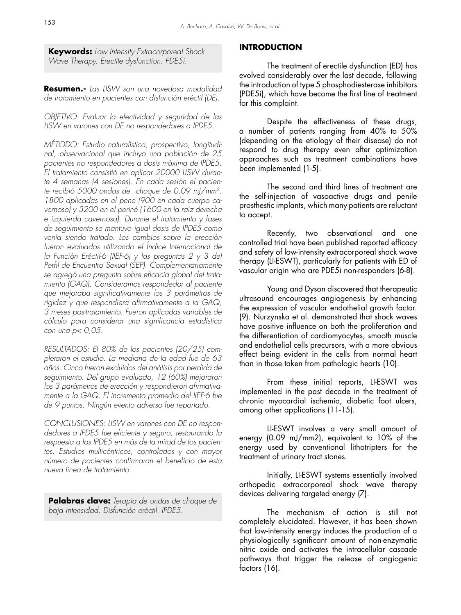**Keywords:** Low Intensity Extracorporeal Shock Wave Therapy. Erectile dysfunction. PDE5i.

**Resumen.-** Las LISW son una novedosa modalidad de tratamiento en pacientes con disfunción eréctil (DE).

OBJETIVO: Evaluar la efectividad y seguridad de las LISW en varones con DE no respondedores a IPDE5.

MÉTODO: Estudio naturalístico, prospectivo, longitudinal, observacional que incluyo una población de 25 pacientes no respondedores a dosis máxima de IPDE5. El tratamiento consistió en aplicar 20000 LISW durante 4 semanas (4 sesiones). En cada sesión el paciente recibió 5000 ondas de choque de 0,09 mJ/mm2. 1800 aplicadas en el pene (900 en cada cuerpo cavernoso) y 3200 en el periné (1600 en la raíz derecha e izquierda cavernosa). Durante el tratamiento y fases de seguimiento se mantuvo igual dosis de IPDE5 como venía siendo tratado. Los cambios sobre la erección fueron evaluados utilizando el Índice Internacional de la Función Eréctil-6 (IIEF-6) y las preguntas 2 y 3 del Perfil de Encuentro Sexual (SEP). Complementariamente se agregó una pregunta sobre eficacia global del tratamiento (GAQ). Consideramos respondedor al paciente que mejoraba significativamente los 3 parámetros de rigidez y que respondiera afirmativamente a la GAQ, 3 meses pos-tratamiento. Fueron aplicadas variables de cálculo para considerar una significancia estadística con una  $p < 0.05$ .

RESULTADOS: El 80% de los pacientes (20/25) completaron el estudio. La mediana de la edad fue de 63 años. Cinco fueron excluidos del análisis por perdida de seguimiento. Del grupo evaluado, 12 (60%) mejoraron los 3 parámetros de erección y respondieron afirmativamente a la GAQ. El incremento promedio del IIEF-6 fue de 9 puntos. Ningún evento adverso fue reportado.

CONCLUSIONES: LISW en varones con DE no respondedores a IPDE5 fue eficiente y seguro, restaurando la respuesta a los IPDE5 en más de la mitad de los pacientes. Estudios multicéntricos, controlados y con mayor número de pacientes confirmaran el beneficio de esta nueva línea de tratamiento.

**Palabras clave:** Terapia de ondas de choque de baja intensidad. Disfunción eréctil. IPDE5.

## **INTRODUCTION**

The treatment of erectile dysfunction (ED) has evolved considerably over the last decade, following the introduction of type 5 phosphodiesterase inhibitors (PDE5i), which have become the first line of treatment for this complaint.

 Despite the effectiveness of these drugs, a number of patients ranging from 40% to 50% (depending on the etiology of their disease) do not respond to drug therapy even after optimization approaches such as treatment combinations have been implemented (1-5).

 The second and third lines of treatment are the self-injection of vasoactive drugs and penile prosthestic implants, which many patients are reluctant to accept.

 Recently, two observational and one controlled trial have been published reported efficacy and safety of low-intensity extracorporeal shock wave therapy (LI-ESWT), particularly for patients with ED of vascular origin who are PDE5i non-responders (6-8).

 Young and Dyson discovered that therapeutic ultrasound encourages angiogenesis by enhancing the expression of vascular endothelial growth factor. (9). Nurzynska et al. demonstrated that shock waves have positive influence on both the proliferation and the differentiation of cardiomyocytes, smooth muscle and endothelial cells precursors, with a more obvious effect being evident in the cells from normal heart than in those taken from pathologic hearts (10).

 From these initial reports, LI-ESWT was implemented in the past decade in the treatment of chronic myocardial ischemia, diabetic foot ulcers, among other applications (11-15).

 LI-ESWT involves a very small amount of energy (0.09 mJ/mm2), equivalent to 10% of the energy used by conventional lithotripters for the treatment of urinary tract stones.

 Initially, LI-ESWT systems essentially involved orthopedic extracorporeal shock wave therapy devices delivering targeted energy (7).

 The mechanism of action is still not completely elucidated. However, it has been shown that low-intensity energy induces the production of a physiologically significant amount of non-enzymatic nitric oxide and activates the intracellular cascade pathways that trigger the release of angiogenic factors (16).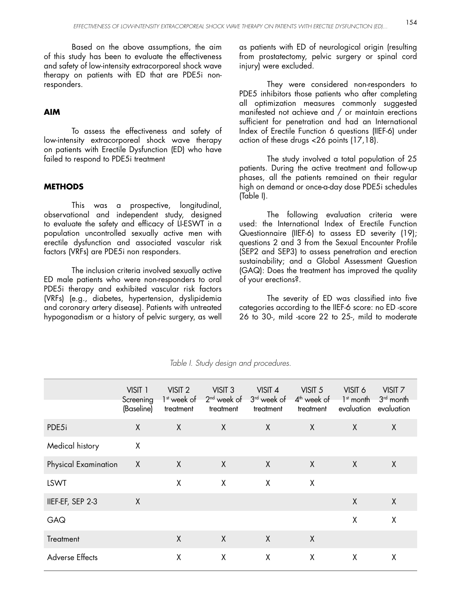Based on the above assumptions, the aim of this study has been to evaluate the effectiveness and safety of low-intensity extracorporeal shock wave therapy on patients with ED that are PDE5i nonresponders.

### **AIM**

 To assess the effectiveness and safety of low-intensity extracorporeal shock wave therapy on patients with Erectile Dysfunction (ED) who have failed to respond to PDE5i treatment

### **METHODS**

 This was a prospective, longitudinal, observational and independent study, designed to evaluate the safety and efficacy of LI-ESWT in a population uncontrolled sexually active men with erectile dysfunction and associated vascular risk factors (VRFs) are PDE5i non responders.

 The inclusion criteria involved sexually active ED male patients who were non-responders to oral PDE5i therapy and exhibited vascular risk factors (VRFs) (e.g., diabetes, hypertension, dyslipidemia and coronary artery disease). Patients with untreated hypogonadism or a history of pelvic surgery, as well as patients with ED of neurological origin (resulting from prostatectomy, pelvic surgery or spinal cord injury) were excluded.

 They were considered non-responders to PDE5 inhibitors those patients who after completing all optimization measures commonly suggested manifested not achieve and / or maintain erections sufficient for penetration and had an International Index of Erectile Function 6 questions (IIEF-6) under action of these drugs <26 points (17,18).

 The study involved a total population of 25 patients. During the active treatment and follow-up phases, all the patients remained on their regular high on demand or once-a-day dose PDE5i schedules (Table I).

 The following evaluation criteria were used: the International Index of Erectile Function Questionnaire (IIEF-6) to assess ED severity (19); questions 2 and 3 from the Sexual Encounter Profile (SEP2 and SEP3) to assess penetration and erection sustainability; and a Global Assessment Question (GAQ): Does the treatment has improved the quality of your erections?.

 The severity of ED was classified into five categories according to the IIEF-6 score: no ED -score 26 to 30-, mild -score 22 to 25-, mild to moderate

|                        | VISIT 1<br>Screening<br>(Baseline) | VISIT <sub>2</sub><br>1 <sup>st</sup> week of<br>treatment | VISIT <sub>3</sub><br>$2nd$ week of<br>treatment | VISIT 4<br>3 <sup>rd</sup> week of<br>treatment | VISIT <sub>5</sub><br>$4th$ week of<br>treatment | VISIT 6<br>$1st$ month<br>evaluation | VISIT <sub>7</sub><br>$3rd$ month<br>evaluation |
|------------------------|------------------------------------|------------------------------------------------------------|--------------------------------------------------|-------------------------------------------------|--------------------------------------------------|--------------------------------------|-------------------------------------------------|
| PDE5i                  | $\sf X$                            | X                                                          | $\sf X$                                          | $\sf X$                                         | $\sf X$                                          | $\sf X$                              | X                                               |
| Medical history        | X                                  |                                                            |                                                  |                                                 |                                                  |                                      |                                                 |
| Physical Examination   | $\boldsymbol{X}$                   | X                                                          | X                                                | $\mathsf{X}$                                    | $\sf X$                                          | X                                    | X                                               |
| <b>LSWT</b>            |                                    | X                                                          | X                                                | X                                               | X                                                |                                      |                                                 |
| IIEF-EF, SEP 2-3       | $\sf X$                            |                                                            |                                                  |                                                 |                                                  | X                                    | X                                               |
| GAQ                    |                                    |                                                            |                                                  |                                                 |                                                  | χ                                    | χ                                               |
| Treatment              |                                    | X                                                          | $\sf X$                                          | X                                               | $\sf X$                                          |                                      |                                                 |
| <b>Adverse Effects</b> |                                    | X                                                          | X                                                | X                                               | X                                                | X                                    | Χ                                               |

#### Table I. Study design and procedures.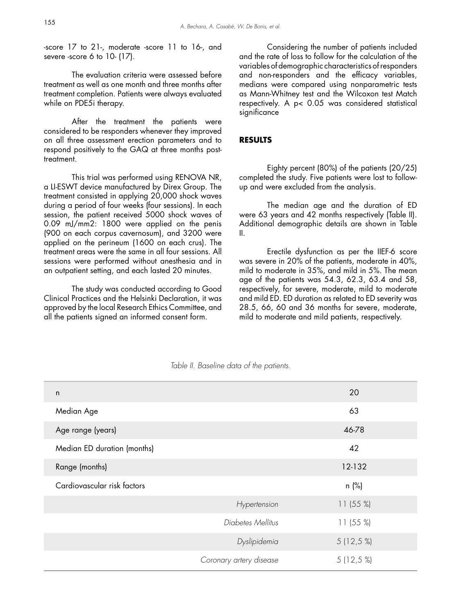-score 17 to 21-, moderate -score 11 to 16-, and severe -score 6 to 10- (17).

 The evaluation criteria were assessed before treatment as well as one month and three months after treatment completion. Patients were always evaluated while on PDE5i therapy.

After the treatment the patients were considered to be responders whenever they improved on all three assessment erection parameters and to respond positively to the GAQ at three months posttreatment.

 This trial was performed using RENOVA NR, a LI-ESWT device manufactured by Direx Group. The treatment consisted in applying 20,000 shock waves during a period of four weeks (four sessions). In each session, the patient received 5000 shock waves of 0.09 mJ/mm2: 1800 were applied on the penis (900 on each corpus cavernosum), and 3200 were applied on the perineum (1600 on each crus). The treatment areas were the same in all four sessions. All sessions were performed without anesthesia and in an outpatient setting, and each lasted 20 minutes.

 The study was conducted according to Good Clinical Practices and the Helsinki Declaration, it was approved by the local Research Ethics Committee, and all the patients signed an informed consent form.

 Considering the number of patients included and the rate of loss to follow for the calculation of the variables of demographic characteristics of responders and non-responders and the efficacy variables, medians were compared using nonparametric tests as Mann-Whitney test and the Wilcoxon test Match respectively. A p< 0.05 was considered statistical significance

#### **RESULTS**

 Eighty percent (80%) of the patients (20/25) completed the study. Five patients were lost to followup and were excluded from the analysis.

 The median age and the duration of ED were 63 years and 42 months respectively (Table II). Additional demographic details are shown in Table II.

 Erectile dysfunction as per the IIEF-6 score was severe in 20% of the patients, moderate in 40%, mild to moderate in 35%, and mild in 5%. The mean age of the patients was 54.3, 62.3, 63.4 and 58, respectively, for severe, moderate, mild to moderate and mild ED. ED duration as related to ED severity was 28.5, 66, 60 and 36 months for severe, moderate, mild to moderate and mild patients, respectively.

| $\mathsf{n}$                |                         | 20          |
|-----------------------------|-------------------------|-------------|
| Median Age                  |                         | 63          |
| Age range (years)           |                         | 46-78       |
| Median ED duration (months) |                         | 42          |
| Range (months)              |                         | 12-132      |
| Cardiovascular risk factors |                         | n (%)       |
|                             | Hypertension            | 11(55%)     |
|                             | Diabetes Mellitus       | 11(55%)     |
|                             | Dyslipidemia            | $5(12,5\%)$ |
|                             | Coronary artery disease | $5(12,5\%)$ |

Table II. Baseline data of the patients.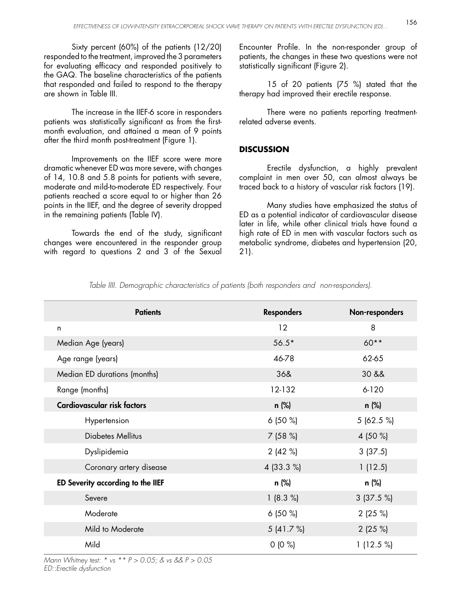Sixty percent (60%) of the patients (12/20) responded to the treatment, improved the 3 parameters for evaluating efficacy and responded positively to the GAQ. The baseline characteristics of the patients that responded and failed to respond to the therapy are shown in Table III.

 The increase in the IIEF-6 score in responders patients was statistically significant as from the firstmonth evaluation, and attained a mean of 9 points after the third month post-treatment (Figure 1).

 Improvements on the IIEF score were more dramatic whenever ED was more severe, with changes of 14, 10.8 and 5.8 points for patients with severe, moderate and mild-to-moderate ED respectively. Four patients reached a score equal to or higher than 26 points in the IIEF, and the degree of severity dropped in the remaining patients (Table IV).

 Towards the end of the study, significant changes were encountered in the responder group with regard to questions 2 and 3 of the Sexual Encounter Profile. In the non-responder group of patients, the changes in these two questions were not statistically significant (Figure 2).

 15 of 20 patients (75 %) stated that the therapy had improved their erectile response.

 There were no patients reporting treatmentrelated adverse events.

# **DISCUSSION**

 Erectile dysfunction, a highly prevalent complaint in men over 50, can almost always be traced back to a history of vascular risk factors (19).

 Many studies have emphasized the status of ED as a potential indicator of cardiovascular disease later in life, while other clinical trials have found a high rate of ED in men with vascular factors such as metabolic syndrome, diabetes and hypertension (20, 21).

| <b>Patients</b>                   | <b>Responders</b> | Non-responders |
|-----------------------------------|-------------------|----------------|
| n                                 | 12                | 8              |
| Median Age (years)                | $56.5*$           | $60**$         |
| Age range (years)                 | 46-78             | 62-65          |
| Median ED durations (months)      | 36&               | 30 &&          |
| Range (months)                    | 12-132            | $6 - 120$      |
| Cardiovascular risk factors       | n (%)             | n (%)          |
| Hypertension                      | 6(50%             | 5(62.5%)       |
| <b>Diabetes Mellitus</b>          | 7(58%)            | 4 (50 %)       |
| Dyslipidemia                      | 2(42%)            | 3(37.5)        |
| Coronary artery disease           | 4 (33.3 %)        | 1(12.5)        |
| ED Severity according to the IIEF | n (%)             | n (%)          |
| Severe                            | 1(8.3%)           | 3(37.5%)       |
| Moderate                          | 6(50%             | 2(25%)         |
| Mild to Moderate                  | 5(41.7%)          | 2(25%)         |
| Mild                              | $0(0\%)$          | 1(12.5%)       |

Table IIII. Demographic characteristics of patients (both responders and non-responders).

Mann Whitney test: \* vs \*\*  $P > 0.05$ ; & vs &&  $P > 0.05$ ED::Erectile dysfunction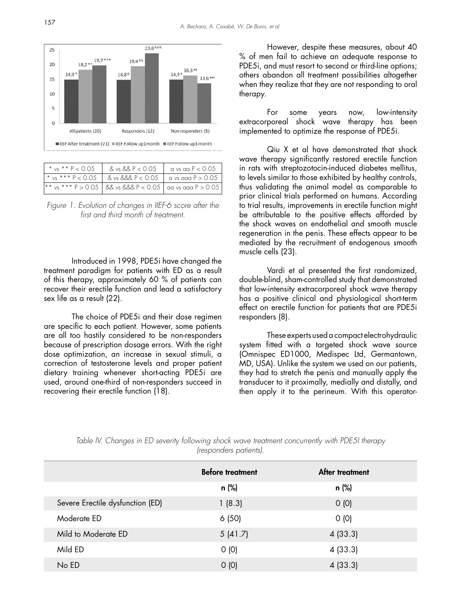

| * $vs$ * * P < 0.05 | $8 \text{ vs } 88 \text{ P} < 0.05$                                 | $\vert$ a vs aa P $< 0.05$ |
|---------------------|---------------------------------------------------------------------|----------------------------|
|                     |                                                                     |                            |
|                     | $\mid$ ** vs *** P > 0.05   && vs &&& P < 0.05   aa vs aaa P > 0.05 |                            |

Figure 1. Evolution of changes in IIEF-6 score after the first and third month of treatment.

 Introduced in 1998, PDE5i have changed the treatment paradigm for patients with ED as a result of this therapy, approximately 60 % of patients can recover their erectile function and lead a satisfactory sex life as a result (22).

 The choice of PDE5i and their dose regimen are specific to each patient. However, some patients are all too hastily considered to be non-responders because of prescription dosage errors. With the right dose optimization, an increase in sexual stimuli, a correction of testosterone levels and proper patient dietary training whenever short-acting PDE5i are used, around one-third of non-responders succeed in recovering their erectile function (18).

 However, despite these measures, about 40 % of men fail to achieve an adequate response to PDE5i, and must resort to second or third-line options; others abandon all treatment possibilities altogether when they realize that they are not responding to oral therapy.

 For some years now, low-intensity extracorporeal shock wave therapy has been implemented to optimize the response of PDE5i.

 Qiu X et al have demonstrated that shock wave therapy significantly restored erectile function in rats with streptozotocin-induced diabetes mellitus, to levels similar to those exhibited by healthy controls, thus validating the animal model as comparable to prior clinical trials performed on humans. According to trial results, improvements in erectile function might be attributable to the positive effects afforded by the shock waves on endothelial and smooth muscle regeneration in the penis. These effects appear to be mediated by the recruitment of endogenous smooth muscle cells (23).

 Vardi et al presented the first randomized, double-blind, sham-controlled study that demonstrated that low-intensity extracorporeal shock wave therapy has a positive clinical and physiological short-term effect on erectile function for patients that are PDE5i responders (8).

 These experts used a compact electrohydraulic system fitted with a targeted shock wave source (Omnispec ED1000, Medispec Ltd, Germantown, MD, USA). Unlike the system we used on our patients, they had to stretch the penis and manually apply the transducer to it proximally, medially and distally, and then apply it to the perineum. With this operator-

|                                  | <b>Before treatment</b> | After treatment |
|----------------------------------|-------------------------|-----------------|
|                                  | n (%)                   | n (%)           |
| Severe Erectile dysfunction (ED) | 1(8.3)                  | O(0)            |
| Moderate ED                      | 6(50)                   | O(0)            |
| Mild to Moderate ED              | 5(41.7)                 | 4(33.3)         |
| Mild ED                          | O(0)                    | 4(33.3)         |
| No ED                            | O(0)                    | 4(33.3)         |

Table IV. Changes in ED severity following shock wave treatment concurrently with PDE5I therapy (responders patients).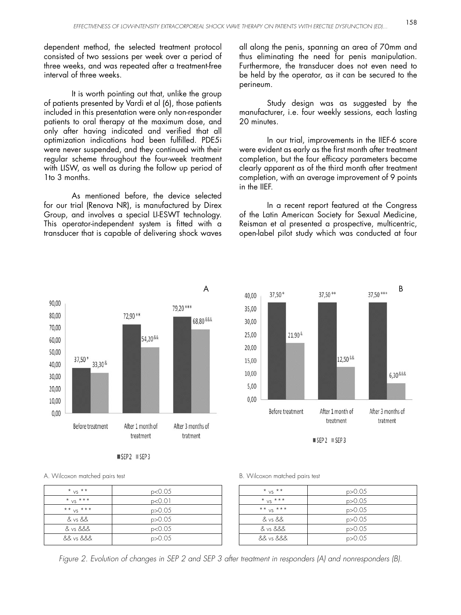dependent method, the selected treatment protocol consisted of two sessions per week over a period of three weeks, and was repeated after a treatment-free interval of three weeks.

 It is worth pointing out that, unlike the group of patients presented by Vardi et al (6), those patients included in this presentation were only non-responder patients to oral therapy at the maximum dose, and only after having indicated and verified that all optimization indications had been fulfilled. PDE5i were never suspended, and they continued with their regular scheme throughout the four-week treatment with LISW, as well as during the follow up period of 1to 3 months.

 As mentioned before, the device selected for our trial (Renova NR), is manufactured by Direx Group, and involves a special LI-ESWT technology. This operator-independent system is fitted with a transducer that is capable of delivering shock waves all along the penis, spanning an area of 70mm and thus eliminating the need for penis manipulation. Furthermore, the transducer does not even need to be held by the operator, as it can be secured to the perineum.

 Study design was as suggested by the manufacturer, i.e. four weekly sessions, each lasting 20 minutes.

 In our trial, improvements in the IIEF-6 score were evident as early as the first month after treatment completion, but the four efficacy parameters became clearly apparent as of the third month after treatment completion, with an average improvement of 9 points in the IIEF.

 In a recent report featured at the Congress of the Latin American Society for Sexual Medicine, Reisman et al presented a prospective, multicentric, open-label pilot study which was conducted at four

12,50 &&

After 1 month of

treatment

 $SEP2 \equiv SEP3$ 

6,30 & & &

After 3 months of

tratment



 $SEP2$   $SEP3$ 

A. Wilcoxon matched pairs test B. Wilcoxon matched pairs test

| $*$ vs $**$ | p < 0.05 |
|-------------|----------|
| * $vs$ ***  | p<0.01   |
| ** $VS$ *** | p > 0.05 |
| & vs &&     | p > 0.05 |
| & vs &&&    | p<0.05   |
| 88 vs 888   | p > 0.05 |

Before treatment

21.90 &

35,00

30.00

25.00

20,00

15,00

10.00

5.00

 $0.00$ 

| $*_{VS}$ **    | p > 0.05 |
|----------------|----------|
| $*$ $vs$ $***$ | p > 0.05 |
| ** $vs$ ***    | p > 0.05 |
| & vs &&        | p > 0.05 |
| & vs &&&       | p > 0.05 |
| && vs &&&      | p > 0.05 |

Figure 2. Evolution of changes in SEP 2 and SEP 3 after treatment in responders (A) and nonresponders (B).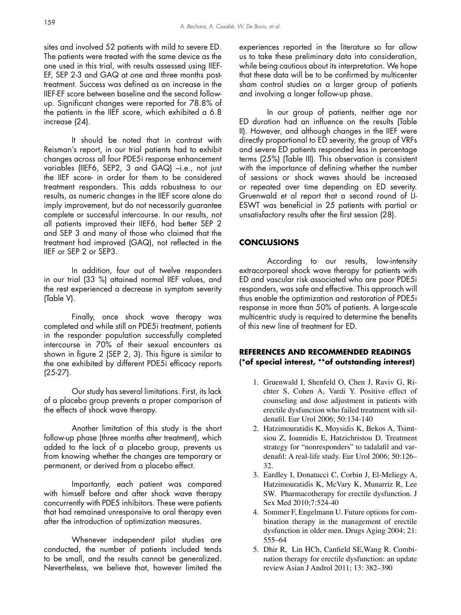sites and involved 52 patients with mild to severe ED. The patients were treated with the same device as the one used in this trial, with results assessed using IIEF-EF, SEP 2-3 and GAQ at one and three months posttreatment. Success was defined as an increase in the IIEF-EF score between baseline and the second followup. Significant changes were reported for 78.8% of the patients in the IIEF score, which exhibited a 6.8 increase (24).

 It should be noted that in contrast with Reisman's report, in our trial patients had to exhibit changes across all four PDE5i response enhancement variables (IIEF6, SEP2, 3 and GAQ) –i.e., not just the IIEF score- in order for them to be considered treatment responders. This adds robustness to our results, as numeric changes in the IIEF score alone do imply improvement, but do not necessarily guarantee complete or successful intercourse. In our results, not all patients improved their IIEF6, had better SEP 2 and SEP 3 and many of those who claimed that the treatment had improved (GAQ), not reflected in the IIEF or SEP 2 or SEP3.

 In addition, four out of twelve responders in our trial (33 %) attained normal IIEF values, and the rest experienced a decrease in symptom severity (Table V).

 Finally, once shock wave therapy was completed and while still on PDE5i treatment, patients in the responder population successfully completed intercourse in 70% of their sexual encounters as shown in figure 2 (SEP 2, 3). This figure is similar to the one exhibited by different PDE5i efficacy reports (25-27).

 Our study has several limitations. First, its lack of a placebo group prevents a proper comparison of the effects of shock wave therapy.

 Another limitation of this study is the short follow-up phase (three months after treatment), which added to the lack of a placebo group, prevents us from knowing whether the changes are temporary or permanent, or derived from a placebo effect.

 Importantly, each patient was compared with himself before and after shock wave therapy concurrently with PDE5 inhibitors. These were patients that had remained unresponsive to oral therapy even after the introduction of optimization measures.

 Whenever independent pilot studies are conducted, the number of patients included tends to be small, and the results cannot be generalized. Nevertheless, we believe that, however limited the experiences reported in the literature so far allow us to take these preliminary data into consideration, while being cautious about its interpretation. We hope that these data will be to be confirmed by multicenter sham control studies on a larger group of patients and involving a longer follow-up phase.

 In our group of patients, neither age nor ED duration had an influence on the results (Table II). However, and although changes in the IIEF were directly proportional to ED severity, the group of VRFs and severe ED patients responded less in percentage terms (25%) (Table III). This observation is consistent with the importance of defining whether the number of sessions or shock waves should be increased or repeated over time depending on ED severity. Gruenwald et al report that a second round of LI-ESWT was beneficial in 25 patients with partial or unsatisfactory results after the first session (28).

# **CONCLUSIONS**

 According to our results, low-intensity extracorporeal shock wave therapy for patients with ED and vascular risk associated who are poor PDE5i responders, was safe and effective. This approach will thus enable the optimization and restoration of PDE5i response in more than 50% of patients. A large-scale multicentric study is required to determine the benefits of this new line of treatment for ED.

# **REFERENCES AND RECOMMENDED READINGS (\*of special interest, \*\*of outstanding interest)**

- 1. Gruenwald I, Shenfeld O, Chen J, Raviv G, Richter S, Cohen A, Vardi Y. Positive effect of counseling and dose adjustment in patients with erectile dysfunction who failed treatment with sildenafil. Eur Urol 2006; 50:134-140
- 2. Hatzimouratidis K, Moysidis K, Bekos A, Tsimtsiou Z, Ioannidis E, Hatzichristou D. Treatment strategy for "nonresponders" to tadalafil and vardenafil: A real-life study. Eur Urol 2006; 50:126– 32.
- Eardley I, Donatucci C, Corbin J, El-Meliegy A, 3. Hatzimouratidis K, McVary K, Munarriz R, Lee SW. Pharmacotherapy for erectile dysfunction. J Sex Med 2010;7:524-40
- 4. Sommer F, Engelmann U. Future options for combination therapy in the management of erectile dysfunction in older men. Drugs Aging 2004; 21: 555–64
- 5. Dhir R, Lin HCh, Canfield SE, Wang R. Combination therapy for erectile dysfunction: an update review Asian J Androl 2011; 13: 382–390